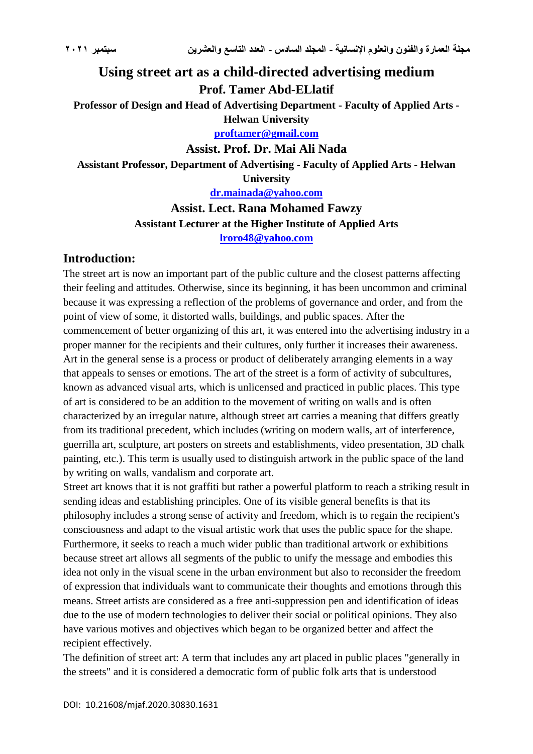# **Using street art as a child-directed advertising medium Prof. Tamer Abd-ELlatif**

**Professor of Design and Head of Advertising Department - Faculty of Applied Arts - Helwan University**

**[proftamer@gmail.com](mailto:proftamer@gmail.com)**

**Assist. Prof. Dr. Mai Ali Nada Assistant Professor, Department of Advertising - Faculty of Applied Arts - Helwan University [dr.mainada@yahoo.com](mailto:dr.mainada@yahoo.com)**

> **Assist. Lect. Rana Mohamed Fawzy Assistant Lecturer at the Higher Institute of Applied Arts [lroro48@yahoo.com](mailto:lroro48@yahoo.com)**

### **Introduction:**

The street art is now an important part of the public culture and the closest patterns affecting their feeling and attitudes. Otherwise, since its beginning, it has been uncommon and criminal because it was expressing a reflection of the problems of governance and order, and from the point of view of some, it distorted walls, buildings, and public spaces. After the commencement of better organizing of this art, it was entered into the advertising industry in a proper manner for the recipients and their cultures, only further it increases their awareness. Art in the general sense is a process or product of deliberately arranging elements in a way that appeals to senses or emotions. The art of the street is a form of activity of subcultures, known as advanced visual arts, which is unlicensed and practiced in public places. This type of art is considered to be an addition to the movement of writing on walls and is often characterized by an irregular nature, although street art carries a meaning that differs greatly from its traditional precedent, which includes (writing on modern walls, art of interference, guerrilla art, sculpture, art posters on streets and establishments, video presentation, 3D chalk painting, etc.). This term is usually used to distinguish artwork in the public space of the land by writing on walls, vandalism and corporate art.

Street art knows that it is not graffiti but rather a powerful platform to reach a striking result in sending ideas and establishing principles. One of its visible general benefits is that its philosophy includes a strong sense of activity and freedom, which is to regain the recipient's consciousness and adapt to the visual artistic work that uses the public space for the shape. Furthermore, it seeks to reach a much wider public than traditional artwork or exhibitions because street art allows all segments of the public to unify the message and embodies this idea not only in the visual scene in the urban environment but also to reconsider the freedom of expression that individuals want to communicate their thoughts and emotions through this means. Street artists are considered as a free anti-suppression pen and identification of ideas due to the use of modern technologies to deliver their social or political opinions. They also have various motives and objectives which began to be organized better and affect the recipient effectively.

The definition of street art: A term that includes any art placed in public places "generally in the streets" and it is considered a democratic form of public folk arts that is understood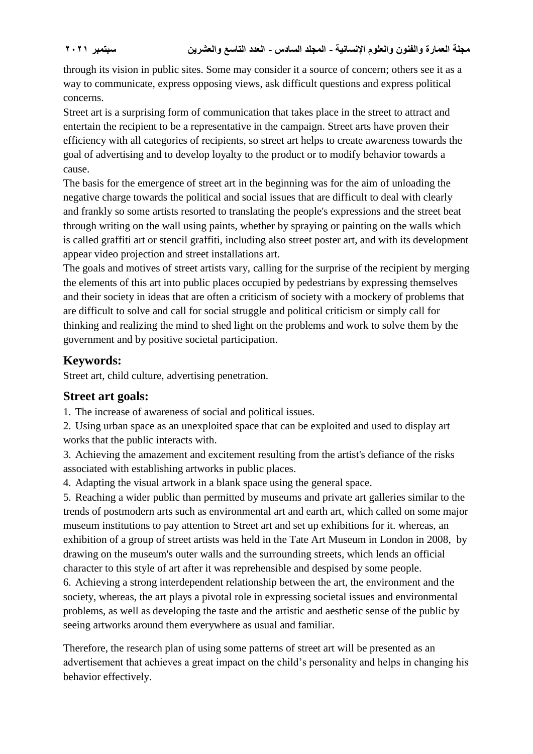through its vision in public sites. Some may consider it a source of concern; others see it as a way to communicate, express opposing views, ask difficult questions and express political concerns.

Street art is a surprising form of communication that takes place in the street to attract and entertain the recipient to be a representative in the campaign. Street arts have proven their efficiency with all categories of recipients, so street art helps to create awareness towards the goal of advertising and to develop loyalty to the product or to modify behavior towards a cause.

The basis for the emergence of street art in the beginning was for the aim of unloading the negative charge towards the political and social issues that are difficult to deal with clearly and frankly so some artists resorted to translating the people's expressions and the street beat through writing on the wall using paints, whether by spraying or painting on the walls which is called graffiti art or stencil graffiti, including also street poster art, and with its development appear video projection and street installations art.

The goals and motives of street artists vary, calling for the surprise of the recipient by merging the elements of this art into public places occupied by pedestrians by expressing themselves and their society in ideas that are often a criticism of society with a mockery of problems that are difficult to solve and call for social struggle and political criticism or simply call for thinking and realizing the mind to shed light on the problems and work to solve them by the government and by positive societal participation.

### **Keywords:**

Street art, child culture, advertising penetration.

## **Street art goals:**

1. The increase of awareness of social and political issues.

2. Using urban space as an unexploited space that can be exploited and used to display art works that the public interacts with.

3. Achieving the amazement and excitement resulting from the artist's defiance of the risks associated with establishing artworks in public places.

4. Adapting the visual artwork in a blank space using the general space.

5. Reaching a wider public than permitted by museums and private art galleries similar to the trends of postmodern arts such as environmental art and earth art, which called on some major museum institutions to pay attention to Street art and set up exhibitions for it. whereas, an exhibition of a group of street artists was held in the Tate Art Museum in London in 2008, by drawing on the museum's outer walls and the surrounding streets, which lends an official character to this style of art after it was reprehensible and despised by some people.

6. Achieving a strong interdependent relationship between the art, the environment and the society, whereas, the art plays a pivotal role in expressing societal issues and environmental problems, as well as developing the taste and the artistic and aesthetic sense of the public by seeing artworks around them everywhere as usual and familiar.

Therefore, the research plan of using some patterns of street art will be presented as an advertisement that achieves a great impact on the child's personality and helps in changing his behavior effectively.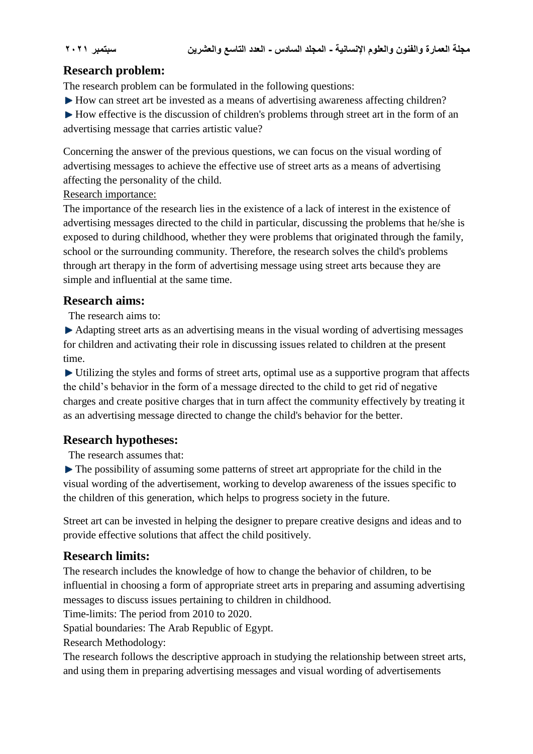## **Research problem:**

The research problem can be formulated in the following questions:

► How can street art be invested as a means of advertising awareness affecting children?

 $\blacktriangleright$  How effective is the discussion of children's problems through street art in the form of an advertising message that carries artistic value?

Concerning the answer of the previous questions, we can focus on the visual wording of advertising messages to achieve the effective use of street arts as a means of advertising affecting the personality of the child.

Research importance:

The importance of the research lies in the existence of a lack of interest in the existence of advertising messages directed to the child in particular, discussing the problems that he/she is exposed to during childhood, whether they were problems that originated through the family, school or the surrounding community. Therefore, the research solves the child's problems through art therapy in the form of advertising message using street arts because they are simple and influential at the same time.

### **Research aims:**

The research aims to:

Adapting street arts as an advertising means in the visual wording of advertising messages for children and activating their role in discussing issues related to children at the present time.

Utilizing the styles and forms of street arts, optimal use as a supportive program that affects the child's behavior in the form of a message directed to the child to get rid of negative charges and create positive charges that in turn affect the community effectively by treating it as an advertising message directed to change the child's behavior for the better.

## **Research hypotheses:**

The research assumes that:

 $\blacktriangleright$  The possibility of assuming some patterns of street art appropriate for the child in the visual wording of the advertisement, working to develop awareness of the issues specific to the children of this generation, which helps to progress society in the future.

Street art can be invested in helping the designer to prepare creative designs and ideas and to provide effective solutions that affect the child positively.

## **Research limits:**

The research includes the knowledge of how to change the behavior of children, to be influential in choosing a form of appropriate street arts in preparing and assuming advertising messages to discuss issues pertaining to children in childhood.

Time-limits: The period from 2010 to 2020.

Spatial boundaries: The Arab Republic of Egypt.

Research Methodology:

The research follows the descriptive approach in studying the relationship between street arts, and using them in preparing advertising messages and visual wording of advertisements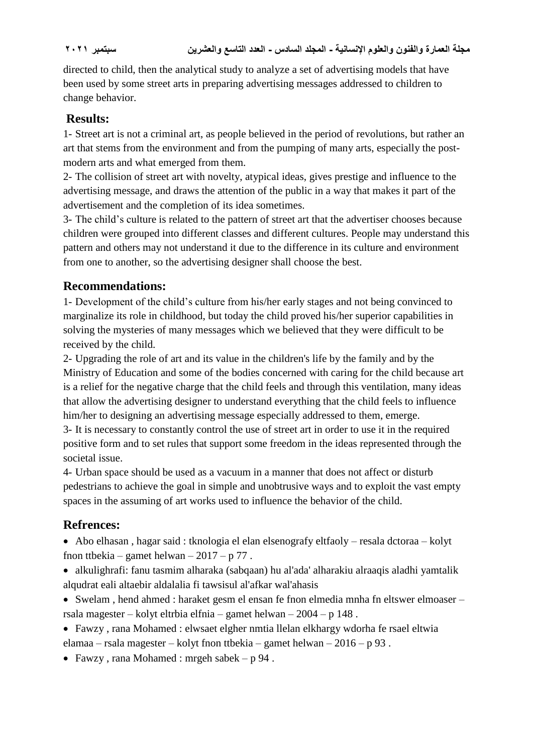directed to child, then the analytical study to analyze a set of advertising models that have been used by some street arts in preparing advertising messages addressed to children to change behavior.

## **Results:**

1- Street art is not a criminal art, as people believed in the period of revolutions, but rather an art that stems from the environment and from the pumping of many arts, especially the postmodern arts and what emerged from them.

2- The collision of street art with novelty, atypical ideas, gives prestige and influence to the advertising message, and draws the attention of the public in a way that makes it part of the advertisement and the completion of its idea sometimes.

3- The child's culture is related to the pattern of street art that the advertiser chooses because children were grouped into different classes and different cultures. People may understand this pattern and others may not understand it due to the difference in its culture and environment from one to another, so the advertising designer shall choose the best.

## **Recommendations:**

1- Development of the child's culture from his/her early stages and not being convinced to marginalize its role in childhood, but today the child proved his/her superior capabilities in solving the mysteries of many messages which we believed that they were difficult to be received by the child.

2- Upgrading the role of art and its value in the children's life by the family and by the Ministry of Education and some of the bodies concerned with caring for the child because art is a relief for the negative charge that the child feels and through this ventilation, many ideas that allow the advertising designer to understand everything that the child feels to influence him/her to designing an advertising message especially addressed to them, emerge.

3- It is necessary to constantly control the use of street art in order to use it in the required positive form and to set rules that support some freedom in the ideas represented through the societal issue.

4- Urban space should be used as a vacuum in a manner that does not affect or disturb pedestrians to achieve the goal in simple and unobtrusive ways and to exploit the vast empty spaces in the assuming of art works used to influence the behavior of the child.

# **Refrences:**

- Abo elhasan , hagar said : tknologia el elan elsenografy eltfaoly resala dctoraa kolyt fnon ttbekia – gamet helwan –  $2017 - p 77$ .
- alkulighrafi: fanu tasmim alharaka (sabqaan) hu al'ada' alharakiu alraaqis aladhi yamtalik alqudrat eali altaebir aldalalia fi tawsisul al'afkar wal'ahasis
- Swelam , hend ahmed : haraket gesm el ensan fe fnon elmedia mnha fn eltswer elmoaser rsala magester – kolyt eltrbia elfnia – gamet helwan – 2004 – p 148 .
- Fawzy , rana Mohamed : elwsaet elgher nmtia llelan elkhargy wdorha fe rsael eltwia elamaa – rsala magester – kolyt fnon ttbekia – gamet helwan – 2016 – p 93 .
- Fawzy, rana Mohamed : mrgeh sabek p 94.